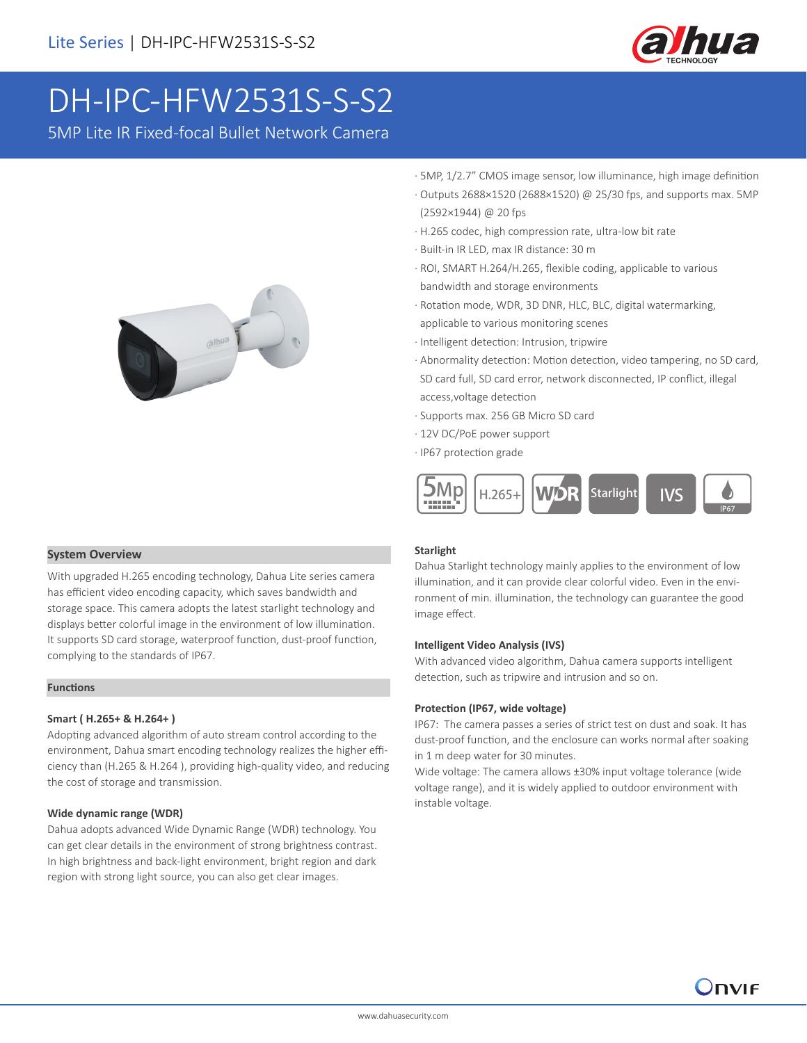

# DH-IPC-HFW2531S-S-S2

5MP Lite IR Fixed-focal Bullet Network Camera



- · 5MP, 1/2.7" CMOS image sensor, low illuminance, high image definition
- · Outputs 2688×1520 (2688×1520) @ 25/30 fps, and supports max. 5MP (2592×1944) @ 20 fps
- · H.265 codec, high compression rate, ultra-low bit rate
- · Built-in IR LED, max IR distance: 30 m
- · ROI, SMART H.264/H.265, flexible coding, applicable to various bandwidth and storage environments
- · Rotation mode, WDR, 3D DNR, HLC, BLC, digital watermarking, applicable to various monitoring scenes
- · Intelligent detection: Intrusion, tripwire
- · Abnormality detection: Motion detection, video tampering, no SD card, SD card full, SD card error, network disconnected, IP conflict, illegal access,voltage detection
- · Supports max. 256 GB Micro SD card
- · 12V DC/PoE power support
- · IP67 protection grade



### **System Overview**

With upgraded H.265 encoding technology, Dahua Lite series camera has efficient video encoding capacity, which saves bandwidth and storage space. This camera adopts the latest starlight technology and displays better colorful image in the environment of low illumination. It supports SD card storage, waterproof function, dust-proof function, complying to the standards of IP67.

### **Functions**

### **Smart ( H.265+ & H.264+ )**

Adopting advanced algorithm of auto stream control according to the environment, Dahua smart encoding technology realizes the higher efficiency than (H.265 & H.264 ), providing high-quality video, and reducing the cost of storage and transmission.

### **Wide dynamic range (WDR)**

Dahua adopts advanced Wide Dynamic Range (WDR) technology. You can get clear details in the environment of strong brightness contrast. In high brightness and back-light environment, bright region and dark region with strong light source, you can also get clear images.

### **Starlight**

Dahua Starlight technology mainly applies to the environment of low illumination, and it can provide clear colorful video. Even in the environment of min. illumination, the technology can guarantee the good image effect.

### **Intelligent Video Analysis (IVS)**

With advanced video algorithm, Dahua camera supports intelligent detection, such as tripwire and intrusion and so on.

### **Protection (IP67, wide voltage)**

IP67: The camera passes a series of strict test on dust and soak. It has dust-proof function, and the enclosure can works normal after soaking in 1 m deep water for 30 minutes.

Wide voltage: The camera allows ±30% input voltage tolerance (wide voltage range), and it is widely applied to outdoor environment with instable voltage.

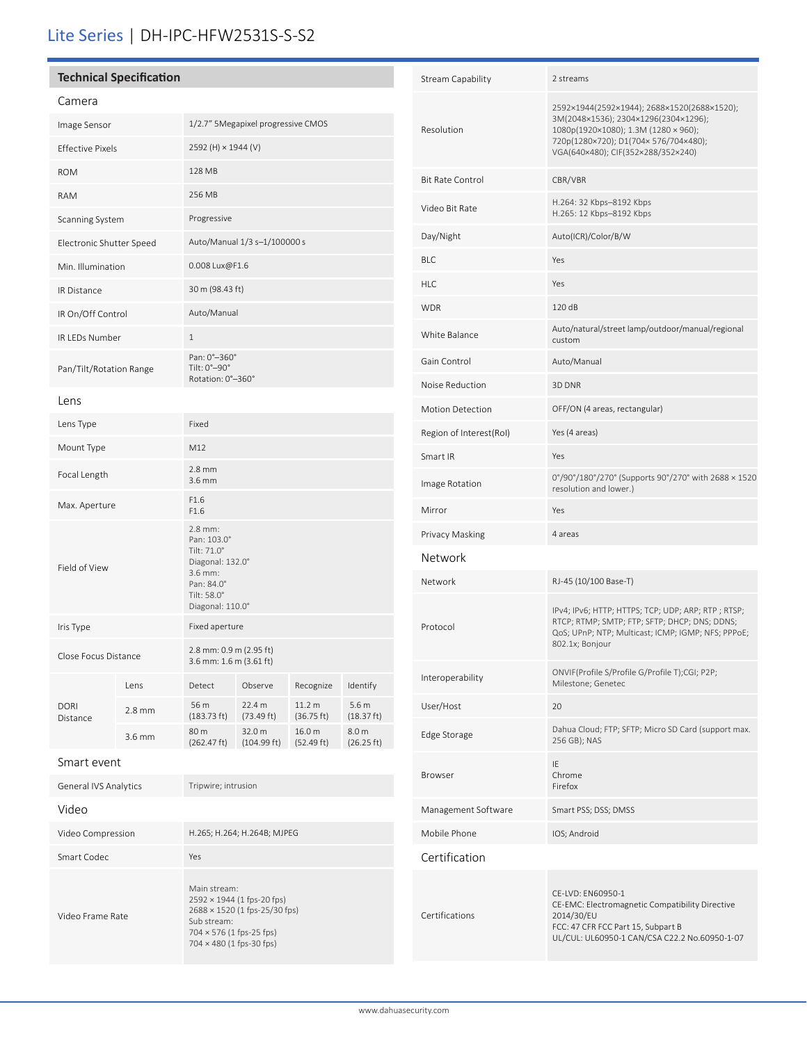# Lite Series | DH-IPC-HFW2531S-S-S2

### **Technical Specification**

Video Frame Rate

| Camera                   |        |                                                                                                                       |                       |                      |                                |
|--------------------------|--------|-----------------------------------------------------------------------------------------------------------------------|-----------------------|----------------------|--------------------------------|
| Image Sensor             |        | 1/2.7" 5Megapixel progressive CMOS                                                                                    |                       |                      |                                |
| <b>Effective Pixels</b>  |        | 2592 (H) × 1944 (V)                                                                                                   |                       |                      |                                |
| <b>ROM</b>               |        | 128 MB                                                                                                                |                       |                      |                                |
| <b>RAM</b>               |        | 256 MB                                                                                                                |                       |                      |                                |
| Scanning System          |        | Progressive                                                                                                           |                       |                      |                                |
| Electronic Shutter Speed |        | Auto/Manual 1/3 s-1/100000 s                                                                                          |                       |                      |                                |
| Min. Illumination        |        | 0.008 Lux@F1.6                                                                                                        |                       |                      |                                |
| <b>IR Distance</b>       |        | 30 m (98.43 ft)                                                                                                       |                       |                      |                                |
| IR On/Off Control        |        | Auto/Manual                                                                                                           |                       |                      |                                |
| <b>IR LEDs Number</b>    |        | $\mathbf{1}$                                                                                                          |                       |                      |                                |
| Pan/Tilt/Rotation Range  |        | Pan: 0°-360°<br>Tilt: 0°-90°<br>Rotation: 0°-360°                                                                     |                       |                      |                                |
| Lens                     |        |                                                                                                                       |                       |                      |                                |
| Lens Type                |        | Fixed                                                                                                                 |                       |                      |                                |
| Mount Type               |        | M12                                                                                                                   |                       |                      |                                |
| Focal Length             |        | $2.8 \text{ mm}$<br>$3.6$ mm                                                                                          |                       |                      |                                |
| Max. Aperture            |        | F1.6<br>F1.6                                                                                                          |                       |                      |                                |
| Field of View            |        | 2.8 mm:<br>Pan: 103.0°<br>Tilt: 71.0°<br>Diagonal: 132.0°<br>3.6 mm:<br>Pan: 84.0°<br>Tilt: 58.0°<br>Diagonal: 110.0° |                       |                      |                                |
| Iris Type                |        | Fixed aperture                                                                                                        |                       |                      |                                |
| Close Focus Distance     |        | 2.8 mm: 0.9 m (2.95 ft)<br>3.6 mm: 1.6 m (3.61 ft)                                                                    |                       |                      |                                |
| <b>DORI</b><br>Distance  | Lens   | Detect                                                                                                                | Observe               | Recognize            | Identify                       |
|                          | 2.8 mm | 56 m<br>(183.73 ft)                                                                                                   | 22.4 m<br>(73.49 ft)  | 11.2 m<br>(36.75 ft) | 5.6 <sub>m</sub><br>(18.37 ft) |
|                          | 3.6 mm | 80 m<br>(262.47 ft)                                                                                                   | 32.0 m<br>(104.99 ft) | 16.0 m<br>(52.49 ft) | 8.0 <sub>m</sub><br>(26.25 ft) |
| Smart event              |        |                                                                                                                       |                       |                      |                                |
| General IVS Analytics    |        | Tripwire; intrusion                                                                                                   |                       |                      |                                |
| Video                    |        |                                                                                                                       |                       |                      |                                |
| Video Compression        |        | H.265; H.264; H.264B; MJPEG                                                                                           |                       |                      |                                |
| Smart Codec              |        | Yes                                                                                                                   |                       |                      |                                |

Main stream: 2592 × 1944 (1 fps-20 fps) 2688 × 1520 (1 fps-25/30 fps)

Sub stream: 704 × 576 (1 fps-25 fps) 704 × 480 (1 fps-30 fps)

| <b>Stream Capability</b> | 2 streams                                                                                                                                                                                                 |  |  |  |  |
|--------------------------|-----------------------------------------------------------------------------------------------------------------------------------------------------------------------------------------------------------|--|--|--|--|
| Resolution               | 2592×1944(2592×1944); 2688×1520(2688×1520);<br>3M(2048×1536); 2304×1296(2304×1296);<br>1080p(1920×1080); 1.3M (1280 × 960);<br>720p(1280×720); D1(704×576/704×480);<br>VGA(640×480); CIF(352×288/352×240) |  |  |  |  |
| <b>Bit Rate Control</b>  | CBR/VBR                                                                                                                                                                                                   |  |  |  |  |
| Video Bit Rate           | H.264: 32 Kbps-8192 Kbps<br>H.265: 12 Kbps-8192 Kbps                                                                                                                                                      |  |  |  |  |
| Day/Night                | Auto(ICR)/Color/B/W                                                                                                                                                                                       |  |  |  |  |
| <b>BLC</b>               | Yes                                                                                                                                                                                                       |  |  |  |  |
| <b>HLC</b>               | Yes                                                                                                                                                                                                       |  |  |  |  |
| <b>WDR</b>               | 120 dB                                                                                                                                                                                                    |  |  |  |  |
| White Balance            | Auto/natural/street lamp/outdoor/manual/regional<br>custom                                                                                                                                                |  |  |  |  |
| Gain Control             | Auto/Manual                                                                                                                                                                                               |  |  |  |  |
| Noise Reduction          | 3D DNR                                                                                                                                                                                                    |  |  |  |  |
| <b>Motion Detection</b>  | OFF/ON (4 areas, rectangular)                                                                                                                                                                             |  |  |  |  |
| Region of Interest(RoI)  | Yes (4 areas)                                                                                                                                                                                             |  |  |  |  |
| Smart IR                 | Yes                                                                                                                                                                                                       |  |  |  |  |
| Image Rotation           | 0°/90°/180°/270° (Supports 90°/270° with 2688 × 1520<br>resolution and lower.)                                                                                                                            |  |  |  |  |
| Mirror                   | Yes                                                                                                                                                                                                       |  |  |  |  |
| Privacy Masking          | 4 areas                                                                                                                                                                                                   |  |  |  |  |
| Network                  |                                                                                                                                                                                                           |  |  |  |  |
| Network                  | RJ-45 (10/100 Base-T)                                                                                                                                                                                     |  |  |  |  |
| Protocol                 | IPv4; IPv6; HTTP; HTTPS; TCP; UDP; ARP; RTP; RTSP;<br>RTCP; RTMP; SMTP; FTP; SFTP; DHCP; DNS; DDNS;<br>QoS; UPnP; NTP; Multicast; ICMP; IGMP; NFS; PPPoE;<br>802.1x; Bonjour                              |  |  |  |  |
| Interoperability         | ONVIF(Profile S/Profile G/Profile T);CGI; P2P;<br>Milestone; Genetec                                                                                                                                      |  |  |  |  |
| User/Host                | 20                                                                                                                                                                                                        |  |  |  |  |
| Edge Storage             | Dahua Cloud; FTP; SFTP; Micro SD Card (support max.<br>256 GB); NAS                                                                                                                                       |  |  |  |  |
| Browser                  | IE<br>Chrome<br>Firefox                                                                                                                                                                                   |  |  |  |  |
| Management Software      | Smart PSS; DSS; DMSS                                                                                                                                                                                      |  |  |  |  |
| Mobile Phone             | IOS; Android                                                                                                                                                                                              |  |  |  |  |
| Certification            |                                                                                                                                                                                                           |  |  |  |  |
| Certifications           | CE-LVD: EN60950-1<br>CE-EMC: Electromagnetic Compatibility Directive<br>2014/30/EU<br>FCC: 47 CFR FCC Part 15, Subpart B<br>UL/CUL: UL60950-1 CAN/CSA C22.2 No.60950-1-07                                 |  |  |  |  |